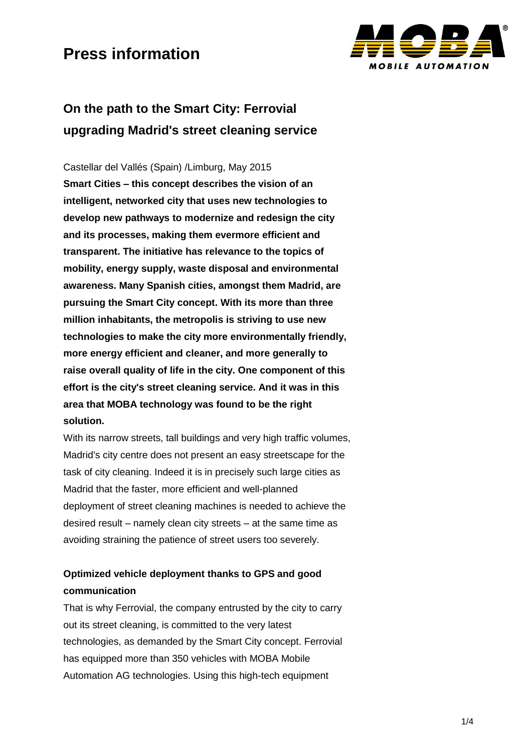

## **On the path to the Smart City: Ferrovial upgrading Madrid's street cleaning service**

Castellar del Vallés (Spain) /Limburg, May 2015 **Smart Cities – this concept describes the vision of an intelligent, networked city that uses new technologies to develop new pathways to modernize and redesign the city and its processes, making them evermore efficient and transparent. The initiative has relevance to the topics of mobility, energy supply, waste disposal and environmental awareness. Many Spanish cities, amongst them Madrid, are pursuing the Smart City concept. With its more than three million inhabitants, the metropolis is striving to use new technologies to make the city more environmentally friendly, more energy efficient and cleaner, and more generally to raise overall quality of life in the city. One component of this effort is the city's street cleaning service. And it was in this area that MOBA technology was found to be the right solution.** 

With its narrow streets, tall buildings and very high traffic volumes, Madrid's city centre does not present an easy streetscape for the task of city cleaning. Indeed it is in precisely such large cities as Madrid that the faster, more efficient and well-planned deployment of street cleaning machines is needed to achieve the desired result – namely clean city streets – at the same time as avoiding straining the patience of street users too severely.

### **Optimized vehicle deployment thanks to GPS and good communication**

That is why Ferrovial, the company entrusted by the city to carry out its street cleaning, is committed to the very latest technologies, as demanded by the Smart City concept. Ferrovial has equipped more than 350 vehicles with MOBA Mobile Automation AG technologies. Using this high-tech equipment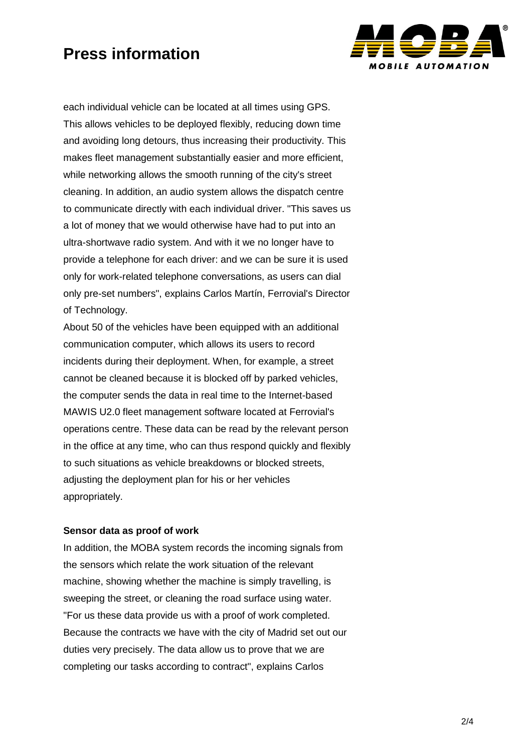

each individual vehicle can be located at all times using GPS. This allows vehicles to be deployed flexibly, reducing down time and avoiding long detours, thus increasing their productivity. This makes fleet management substantially easier and more efficient, while networking allows the smooth running of the city's street cleaning. In addition, an audio system allows the dispatch centre to communicate directly with each individual driver. "This saves us a lot of money that we would otherwise have had to put into an ultra-shortwave radio system. And with it we no longer have to provide a telephone for each driver: and we can be sure it is used only for work-related telephone conversations, as users can dial only pre-set numbers", explains Carlos Martín, Ferrovial's Director of Technology.

About 50 of the vehicles have been equipped with an additional communication computer, which allows its users to record incidents during their deployment. When, for example, a street cannot be cleaned because it is blocked off by parked vehicles, the computer sends the data in real time to the Internet-based MAWIS U2.0 fleet management software located at Ferrovial's operations centre. These data can be read by the relevant person in the office at any time, who can thus respond quickly and flexibly to such situations as vehicle breakdowns or blocked streets, adjusting the deployment plan for his or her vehicles appropriately.

#### **Sensor data as proof of work**

In addition, the MOBA system records the incoming signals from the sensors which relate the work situation of the relevant machine, showing whether the machine is simply travelling, is sweeping the street, or cleaning the road surface using water. "For us these data provide us with a proof of work completed. Because the contracts we have with the city of Madrid set out our duties very precisely. The data allow us to prove that we are completing our tasks according to contract", explains Carlos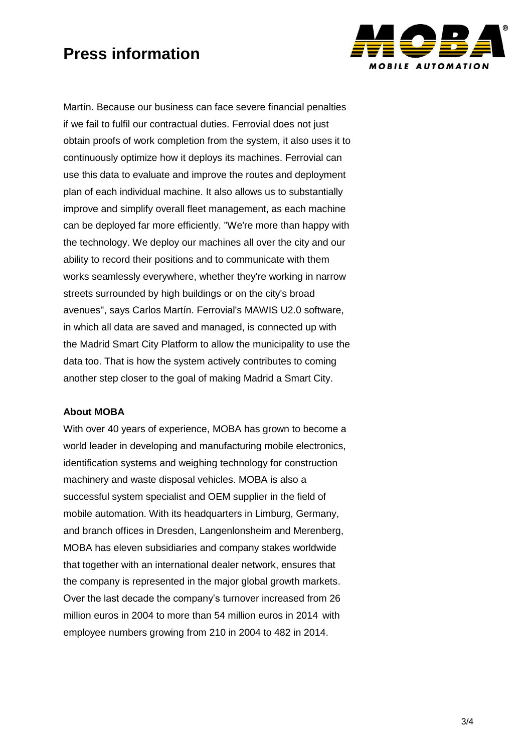

Martín. Because our business can face severe financial penalties if we fail to fulfil our contractual duties. Ferrovial does not just obtain proofs of work completion from the system, it also uses it to continuously optimize how it deploys its machines. Ferrovial can use this data to evaluate and improve the routes and deployment plan of each individual machine. It also allows us to substantially improve and simplify overall fleet management, as each machine can be deployed far more efficiently. "We're more than happy with the technology. We deploy our machines all over the city and our ability to record their positions and to communicate with them works seamlessly everywhere, whether they're working in narrow streets surrounded by high buildings or on the city's broad avenues", says Carlos Martín. Ferrovial's MAWIS U2.0 software, in which all data are saved and managed, is connected up with the Madrid Smart City Platform to allow the municipality to use the data too. That is how the system actively contributes to coming another step closer to the goal of making Madrid a Smart City.

### **About MOBA**

With over 40 years of experience, MOBA has grown to become a world leader in developing and manufacturing mobile electronics, identification systems and weighing technology for construction machinery and waste disposal vehicles. MOBA is also a successful system specialist and OEM supplier in the field of mobile automation. With its headquarters in Limburg, Germany, and branch offices in Dresden, Langenlonsheim and Merenberg, MOBA has eleven subsidiaries and company stakes worldwide that together with an international dealer network, ensures that the company is represented in the major global growth markets. Over the last decade the company's turnover increased from 26 million euros in 2004 to more than 54 million euros in 2014 with employee numbers growing from 210 in 2004 to 482 in 2014.